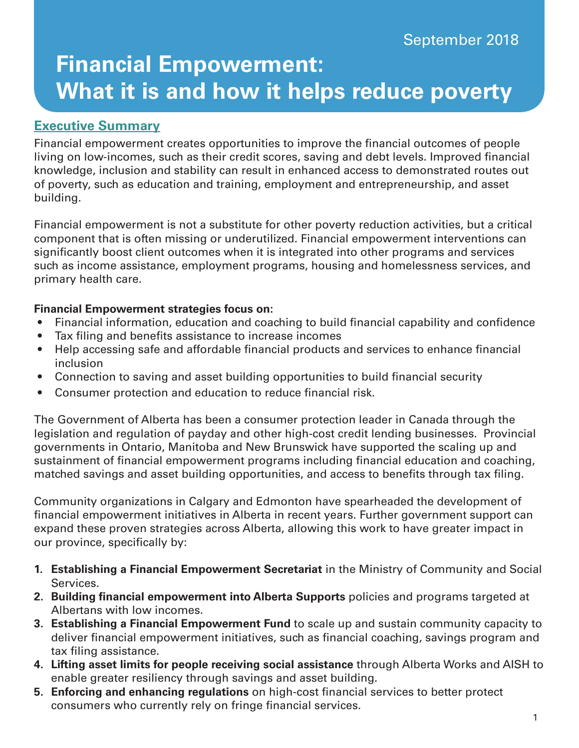# **Financial Empowerment: What it is and how it helps reduce poverty**

# **Executive Summary**

Financial empowerment creates opportunities to improve the financial outcomes of people living on low-incomes, such as their credit scores, saving and debt levels. Improved financial knowledge, inclusion and stability can result in enhanced access to demonstrated routes out of poverty, such as education and training, employment and entrepreneurship, and asset building.

Financial empowerment is not a substitute for other poverty reduction activities, but a critical component that is often missing or underutilized. Financial empowerment interventions can significantly boost client outcomes when it is integrated into other programs and services such as income assistance, employment programs, housing and homelessness services, and primary health care.

#### **Financial Empowerment strategies focus on:**

- Financial information, education and coaching to build financial capability and confidence
- Tax filing and benefits assistance to increase incomes
- Help accessing safe and affordable financial products and services to enhance financial inclusion
- Connection to saving and asset building opportunities to build financial security
- Consumer protection and education to reduce financial risk.

The Government of Alberta has been a consumer protection leader in Canada through the legislation and regulation of payday and other high-cost credit lending businesses. Provincial governments in Ontario, Manitoba and New Brunswick have supported the scaling up and sustainment of financial empowerment programs including financial education and coaching, matched savings and asset building opportunities, and access to benefits through tax filing.

Community organizations in Calgary and Edmonton have spearheaded the development of financial empowerment initiatives in Alberta in recent years. Further government support can expand these proven strategies across Alberta, allowing this work to have greater impact in our province, specifically by:

- **1. Establishing a Financial Empowerment Secretariat** in the Ministry of Community and Social Services.
- **2. Building financial empowerment into Alberta Supports** policies and programs targeted at Albertans with low incomes.
- **3. Establishing a Financial Empowerment Fund** to scale up and sustain community capacity to deliver financial empowerment initiatives, such as financial coaching, savings program and tax filing assistance.
- **4. Lifting asset limits for people receiving social assistance** through Alberta Works and AISH to enable greater resiliency through savings and asset building.
- **5. Enforcing and enhancing regulations** on high-cost financial services to better protect consumers who currently rely on fringe financial services.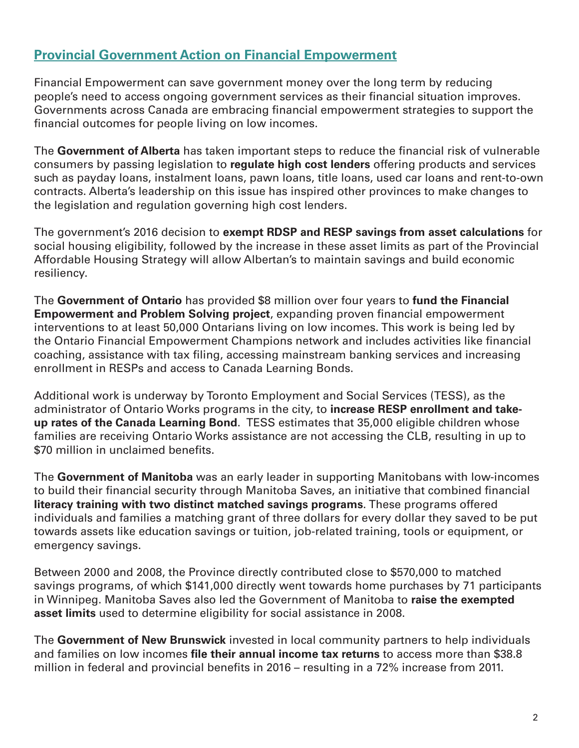# **Provincial Government Action on Financial Empowerment**

Financial Empowerment can save government money over the long term by reducing people's need to access ongoing government services as their financial situation improves. Governments across Canada are embracing financial empowerment strategies to support the financial outcomes for people living on low incomes.

The **Government of Alberta** has taken important steps to reduce the financial risk of vulnerable consumers by passing legislation to **regulate high cost lenders** offering products and services such as payday loans, instalment loans, pawn loans, title loans, used car loans and rent-to-own contracts. Alberta's leadership on this issue has inspired other provinces to make changes to the legislation and regulation governing high cost lenders.

The government's 2016 decision to **exempt RDSP and RESP savings from asset calculations** for social housing eligibility, followed by the increase in these asset limits as part of the Provincial Affordable Housing Strategy will allow Albertan's to maintain savings and build economic resiliency.

The **Government of Ontario** has provided \$8 million over four years to **fund the Financial Empowerment and Problem Solving project**, expanding proven financial empowerment interventions to at least 50,000 Ontarians living on low incomes. This work is being led by the Ontario Financial Empowerment Champions network and includes activities like financial coaching, assistance with tax filing, accessing mainstream banking services and increasing enrollment in RESPs and access to Canada Learning Bonds.

Additional work is underway by Toronto Employment and Social Services (TESS), as the administrator of Ontario Works programs in the city, to **increase RESP enrollment and takeup rates of the Canada Learning Bond**. TESS estimates that 35,000 eligible children whose families are receiving Ontario Works assistance are not accessing the CLB, resulting in up to \$70 million in unclaimed benefits.

The **Government of Manitoba** was an early leader in supporting Manitobans with low-incomes to build their financial security through Manitoba Saves, an initiative that combined financial **literacy training with two distinct matched savings programs**. These programs offered individuals and families a matching grant of three dollars for every dollar they saved to be put towards assets like education savings or tuition, job-related training, tools or equipment, or emergency savings.

Between 2000 and 2008, the Province directly contributed close to \$570,000 to matched savings programs, of which \$141,000 directly went towards home purchases by 71 participants in Winnipeg. Manitoba Saves also led the Government of Manitoba to **raise the exempted asset limits** used to determine eligibility for social assistance in 2008.

The **Government of New Brunswick** invested in local community partners to help individuals and families on low incomes **file their annual income tax returns** to access more than \$38.8 million in federal and provincial benefits in 2016 – resulting in a 72% increase from 2011.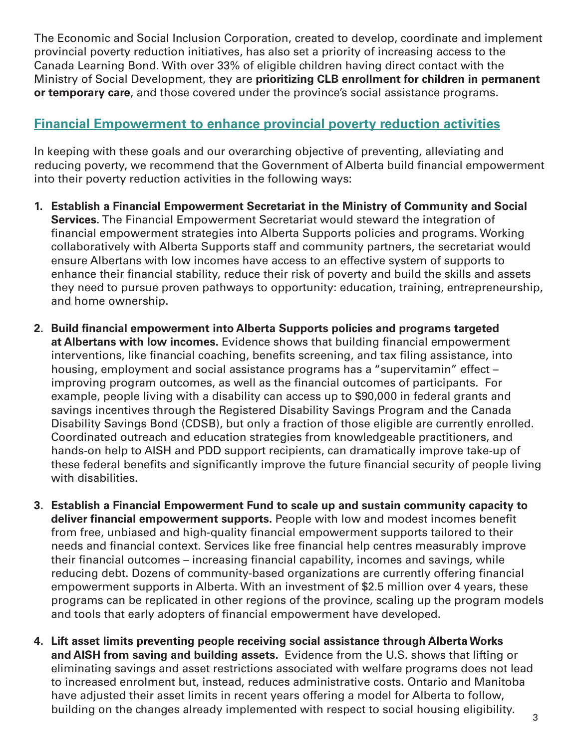The Economic and Social Inclusion Corporation, created to develop, coordinate and implement provincial poverty reduction initiatives, has also set a priority of increasing access to the Canada Learning Bond. With over 33% of eligible children having direct contact with the Ministry of Social Development, they are **prioritizing CLB enrollment for children in permanent or temporary care**, and those covered under the province's social assistance programs.

### **Financial Empowerment to enhance provincial poverty reduction activities**

In keeping with these goals and our overarching objective of preventing, alleviating and reducing poverty, we recommend that the Government of Alberta build financial empowerment into their poverty reduction activities in the following ways:

- **1. Establish a Financial Empowerment Secretariat in the Ministry of Community and Social Services.** The Financial Empowerment Secretariat would steward the integration of financial empowerment strategies into Alberta Supports policies and programs. Working collaboratively with Alberta Supports staff and community partners, the secretariat would ensure Albertans with low incomes have access to an effective system of supports to enhance their financial stability, reduce their risk of poverty and build the skills and assets they need to pursue proven pathways to opportunity: education, training, entrepreneurship, and home ownership.
- **2. Build financial empowerment into Alberta Supports policies and programs targeted at Albertans with low incomes.** Evidence shows that building financial empowerment interventions, like financial coaching, benefits screening, and tax filing assistance, into housing, employment and social assistance programs has a "supervitamin" effect – improving program outcomes, as well as the financial outcomes of participants. For example, people living with a disability can access up to \$90,000 in federal grants and savings incentives through the Registered Disability Savings Program and the Canada Disability Savings Bond (CDSB), but only a fraction of those eligible are currently enrolled. Coordinated outreach and education strategies from knowledgeable practitioners, and hands-on help to AISH and PDD support recipients, can dramatically improve take-up of these federal benefits and significantly improve the future financial security of people living with disabilities.
- **3. Establish a Financial Empowerment Fund to scale up and sustain community capacity to deliver financial empowerment supports.** People with low and modest incomes benefit from free, unbiased and high-quality financial empowerment supports tailored to their needs and financial context. Services like free financial help centres measurably improve their financial outcomes – increasing financial capability, incomes and savings, while reducing debt. Dozens of community-based organizations are currently offering financial empowerment supports in Alberta. With an investment of \$2.5 million over 4 years, these programs can be replicated in other regions of the province, scaling up the program models and tools that early adopters of financial empowerment have developed.
- **4. Lift asset limits preventing people receiving social assistance through Alberta Works and AISH from saving and building assets.** Evidence from the U.S. shows that lifting or eliminating savings and asset restrictions associated with welfare programs does not lead to increased enrolment but, instead, reduces administrative costs. Ontario and Manitoba have adjusted their asset limits in recent years offering a model for Alberta to follow, building on the changes already implemented with respect to social housing eligibility.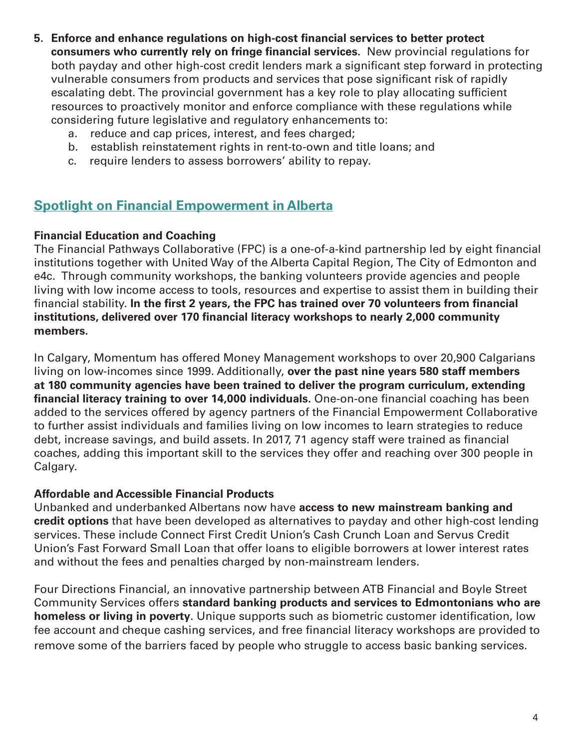- **5. Enforce and enhance regulations on high-cost financial services to better protect consumers who currently rely on fringe financial services.** New provincial regulations for both payday and other high-cost credit lenders mark a significant step forward in protecting vulnerable consumers from products and services that pose significant risk of rapidly escalating debt. The provincial government has a key role to play allocating sufficient resources to proactively monitor and enforce compliance with these regulations while considering future legislative and regulatory enhancements to:
	- a. reduce and cap prices, interest, and fees charged;
	- b. establish reinstatement rights in rent-to-own and title loans; and
	- c. require lenders to assess borrowers' ability to repay.

#### **Spotlight on Financial Empowerment in Alberta**

#### **Financial Education and Coaching**

The Financial Pathways Collaborative (FPC) is a one-of-a-kind partnership led by eight financial institutions together with United Way of the Alberta Capital Region, The City of Edmonton and e4c. Through community workshops, the banking volunteers provide agencies and people living with low income access to tools, resources and expertise to assist them in building their financial stability. **In the first 2 years, the FPC has trained over 70 volunteers from financial institutions, delivered over 170 financial literacy workshops to nearly 2,000 community members.** 

In Calgary, Momentum has offered Money Management workshops to over 20,900 Calgarians living on low-incomes since 1999. Additionally, **over the past nine years 580 staff members at 180 community agencies have been trained to deliver the program curriculum, extending financial literacy training to over 14,000 individuals.** One-on-one financial coaching has been added to the services offered by agency partners of the Financial Empowerment Collaborative to further assist individuals and families living on low incomes to learn strategies to reduce debt, increase savings, and build assets. In 2017, 71 agency staff were trained as financial coaches, adding this important skill to the services they offer and reaching over 300 people in Calgary.

#### **Affordable and Accessible Financial Products**

Unbanked and underbanked Albertans now have **access to new mainstream banking and credit options** that have been developed as alternatives to payday and other high-cost lending services. These include Connect First Credit Union's Cash Crunch Loan and Servus Credit Union's Fast Forward Small Loan that offer loans to eligible borrowers at lower interest rates and without the fees and penalties charged by non-mainstream lenders.

Four Directions Financial, an innovative partnership between ATB Financial and Boyle Street Community Services offers **standard banking products and services to Edmontonians who are homeless or living in poverty**. Unique supports such as biometric customer identification, low fee account and cheque cashing services, and free financial literacy workshops are provided to remove some of the barriers faced by people who struggle to access basic banking services.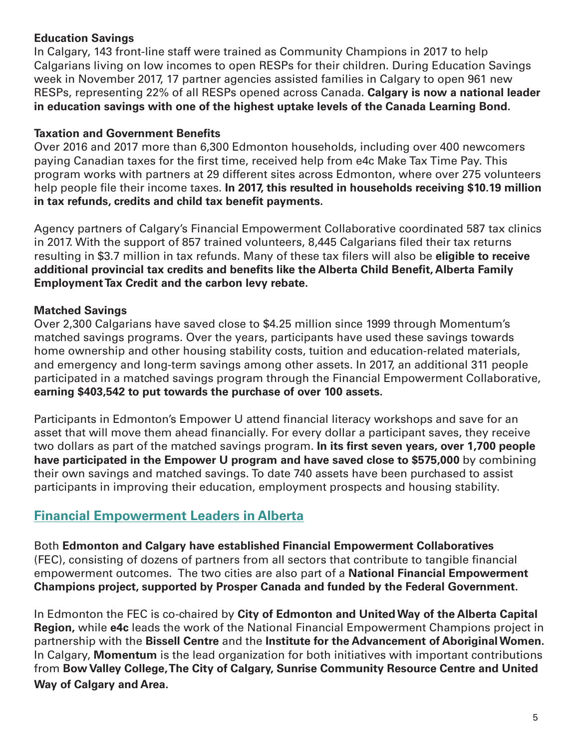#### **Education Savings**

In Calgary, 143 front-line staff were trained as Community Champions in 2017 to help Calgarians living on low incomes to open RESPs for their children. During Education Savings week in November 2017, 17 partner agencies assisted families in Calgary to open 961 new RESPs, representing 22% of all RESPs opened across Canada. **Calgary is now a national leader in education savings with one of the highest uptake levels of the Canada Learning Bond.**

#### **Taxation and Government Benefits**

Over 2016 and 2017 more than 6,300 Edmonton households, including over 400 newcomers paying Canadian taxes for the first time, received help from e4c Make Tax Time Pay. This program works with partners at 29 different sites across Edmonton, where over 275 volunteers help people file their income taxes. **In 2017, this resulted in households receiving \$10.19 million in tax refunds, credits and child tax benefit payments.**

Agency partners of Calgary's Financial Empowerment Collaborative coordinated 587 tax clinics in 2017. With the support of 857 trained volunteers, 8,445 Calgarians filed their tax returns resulting in \$3.7 million in tax refunds. Many of these tax filers will also be **eligible to receive additional provincial tax credits and benefits like the Alberta Child Benefit, Alberta Family Employment Tax Credit and the carbon levy rebate.** 

#### **Matched Savings**

Over 2,300 Calgarians have saved close to \$4.25 million since 1999 through Momentum's matched savings programs. Over the years, participants have used these savings towards home ownership and other housing stability costs, tuition and education-related materials, and emergency and long-term savings among other assets. In 2017, an additional 311 people participated in a matched savings program through the Financial Empowerment Collaborative, **earning \$403,542 to put towards the purchase of over 100 assets.**

Participants in Edmonton's Empower U attend financial literacy workshops and save for an asset that will move them ahead financially. For every dollar a participant saves, they receive two dollars as part of the matched savings program. **In its first seven years, over 1,700 people have participated in the Empower U program and have saved close to \$575,000** by combining their own savings and matched savings. To date 740 assets have been purchased to assist participants in improving their education, employment prospects and housing stability.

# **Financial Empowerment Leaders in Alberta**

Both **Edmonton and Calgary have established Financial Empowerment Collaboratives**  (FEC), consisting of dozens of partners from all sectors that contribute to tangible financial empowerment outcomes. The two cities are also part of a **National Financial Empowerment Champions project, supported by Prosper Canada and funded by the Federal Government.**

In Edmonton the FEC is co-chaired by **City of Edmonton and United Way of the Alberta Capital Region,** while **e4c** leads the work of the National Financial Empowerment Champions project in partnership with the **Bissell Centre** and the **Institute for the Advancement of Aboriginal Women.**  In Calgary, **Momentum** is the lead organization for both initiatives with important contributions from **Bow Valley College, The City of Calgary, Sunrise Community Resource Centre and United Way of Calgary and Area.**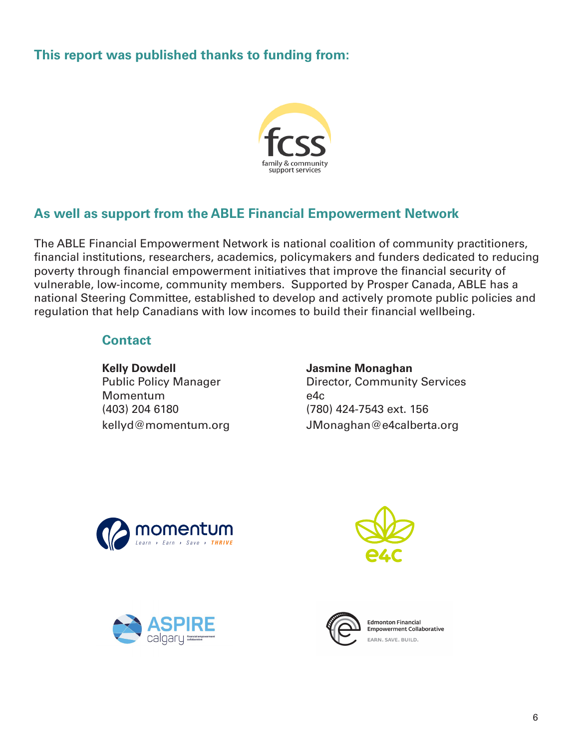# **This report was published thanks to funding from:**



# **As well as support from the ABLE Financial Empowerment Network**

The ABLE Financial Empowerment Network is national coalition of community practitioners, financial institutions, researchers, academics, policymakers and funders dedicated to reducing poverty through financial empowerment initiatives that improve the financial security of vulnerable, low-income, community members. Supported by Prosper Canada, ABLE has a national Steering Committee, established to develop and actively promote public policies and regulation that help Canadians with low incomes to build their financial wellbeing.

#### **Contact**

 **Kelly Dowdell Jasmine Monaghan** Momentum e4c (403) 204 6180 (780) 424-7543 ext. 156

# Public Policy Manager **Director, Community Services** kellyd@momentum.org JMonaghan@e4calberta.org









**Edmonton Einancial Empowerment Collaborative** EARN, SAVE, BUILD.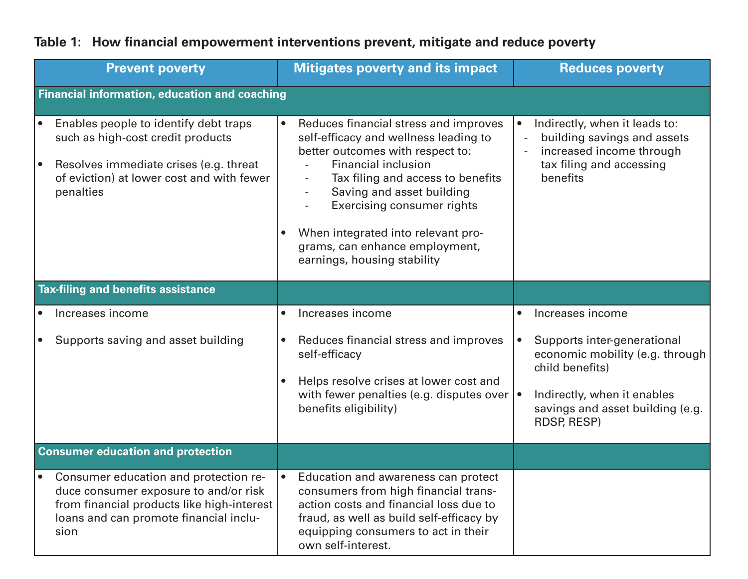| <b>Prevent poverty</b>                                                                                                                                                                      | <b>Mitigates poverty and its impact</b>                                                                                                                                                                                                                                                                                                                 | <b>Reduces poverty</b>                                                                                                                                                                  |
|---------------------------------------------------------------------------------------------------------------------------------------------------------------------------------------------|---------------------------------------------------------------------------------------------------------------------------------------------------------------------------------------------------------------------------------------------------------------------------------------------------------------------------------------------------------|-----------------------------------------------------------------------------------------------------------------------------------------------------------------------------------------|
| <b>Financial information, education and coaching</b>                                                                                                                                        |                                                                                                                                                                                                                                                                                                                                                         |                                                                                                                                                                                         |
| Enables people to identify debt traps<br>such as high-cost credit products<br>Resolves immediate crises (e.g. threat<br>of eviction) at lower cost and with fewer<br>penalties              | Reduces financial stress and improves<br>self-efficacy and wellness leading to<br>better outcomes with respect to:<br>Financial inclusion<br>Tax filing and access to benefits<br>Saving and asset building<br><b>Exercising consumer rights</b><br>When integrated into relevant pro-<br>grams, can enhance employment,<br>earnings, housing stability | Indirectly, when it leads to:<br>$\bullet$<br>building savings and assets<br>$\overline{\phantom{a}}$<br>increased income through<br>tax filing and accessing<br>benefits               |
| <b>Tax-filing and benefits assistance</b>                                                                                                                                                   |                                                                                                                                                                                                                                                                                                                                                         |                                                                                                                                                                                         |
| • Increases income                                                                                                                                                                          | Increases income<br>$\bullet$                                                                                                                                                                                                                                                                                                                           | Increases income<br>$\bullet$                                                                                                                                                           |
| Supports saving and asset building<br>$\bullet$                                                                                                                                             | Reduces financial stress and improves<br>$\bullet$<br>self-efficacy<br>Helps resolve crises at lower cost and<br>with fewer penalties (e.g. disputes over $\cdot$<br>benefits eligibility)                                                                                                                                                              | Supports inter-generational<br>$\bullet$<br>economic mobility (e.g. through<br>child benefits)<br>Indirectly, when it enables<br>savings and asset building (e.g.<br><b>RDSP, RESP)</b> |
| <b>Consumer education and protection</b>                                                                                                                                                    |                                                                                                                                                                                                                                                                                                                                                         |                                                                                                                                                                                         |
| Consumer education and protection re-<br>$\bullet$<br>duce consumer exposure to and/or risk<br>from financial products like high-interest<br>loans and can promote financial inclu-<br>sion | Education and awareness can protect<br>consumers from high financial trans-<br>action costs and financial loss due to<br>fraud, as well as build self-efficacy by<br>equipping consumers to act in their<br>own self-interest.                                                                                                                          |                                                                                                                                                                                         |

# **Table 1: How financial empowerment interventions prevent, mitigate and reduce poverty**